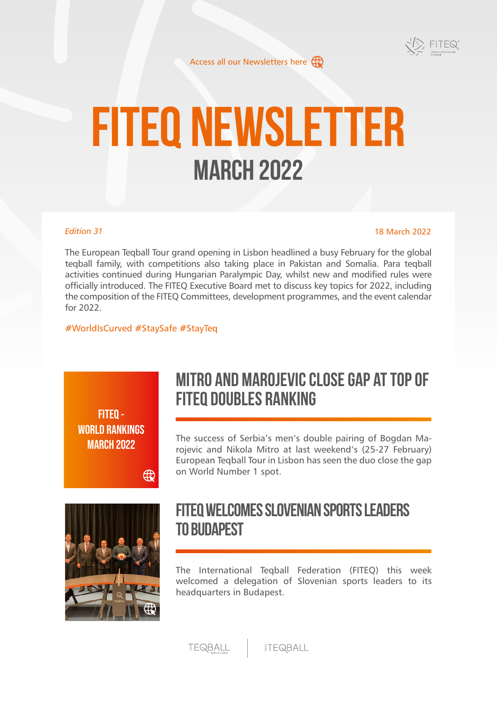

[Access all our Newsletters here](https://www.fiteq.org/newsletters)  $\bigoplus$ 

# **FITEQ Newsletter March 2022**

### *Edition 31*

#### 18 March 2022

The European Teqball Tour grand opening in Lisbon headlined a busy February for the global teqball family, with competitions also taking place in Pakistan and Somalia. Para teqball activities continued during Hungarian Paralympic Day, whilst new and modified rules were officially introduced. The FITEQ Executive Board met to discuss key topics for 2022, including the composition of the FITEQ Committees, development programmes, and the event calendar for 2022.

### #WorldIsCurved #StaySafe #StayTeq

⊕

**FITEQ - [WORLD RANKINGS](https://www.fiteq.org/news/-201) MARCH 2022**

# **Mitro and Marojevic close gap at top of FITEQ doubles ranking**

The success of Serbia's men's double pairing of Bogdan Marojevic and Nikola Mitro at last weekend's (25-27 February) European Teqball Tour in Lisbon has seen the duo close the gap on World Number 1 spot.



# **FITEQ welcomes Slovenian sports leaders to Budapest**

The International Teqball Federation (FITEQ) this week welcomed a delegation of Slovenian sports leaders to its headquarters in Budapest.

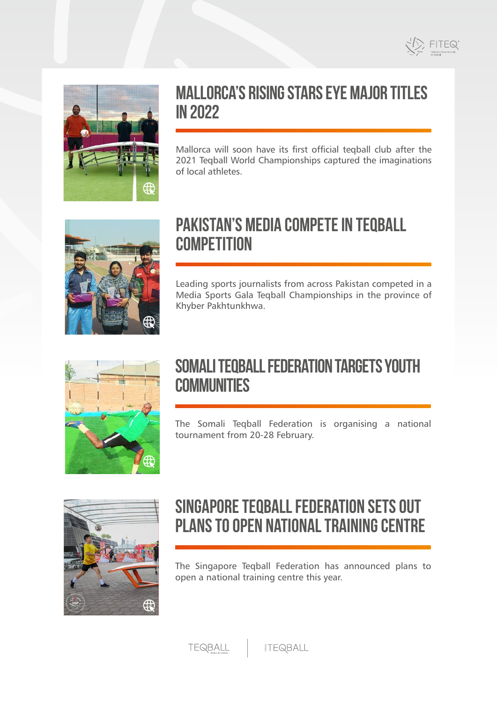



## **Mallorca's rising stars eye major titles in 2022**

Mallorca will soon have its first official teqball club after the 2021 Teqball World Championships captured the imaginations of local athletes.



# **Pakistan's media compete in teqball competition**

Leading sports journalists from across Pakistan competed in a Media Sports Gala Teqball Championships in the province of Khyber Pakhtunkhwa.



# **Somali Teqball Federation targets youth communities**

The Somali Teqball Federation is organising a national tournament from 20-28 February.



# **Singapore Teqball Federation sets out plans to open national training centre**

The Singapore Teqball Federation has announced plans to open a national training centre this year.

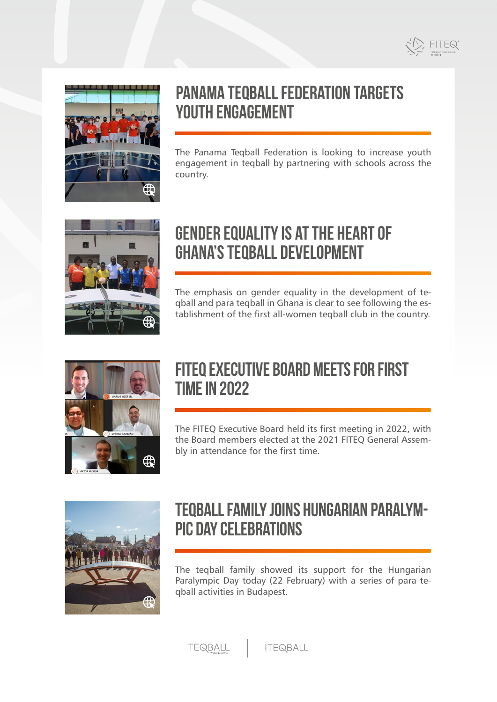



# **Panama Teqball Federation targets youth engagement**

The Panama Teqball Federation is looking to increase youth engagement in teqball by partnering with schools across the country.



# **Gender equality is at the heart of Ghana's teqball development**

The emphasis on gender equality in the development of teqball and para teqball in Ghana is clear to see following the establishment of the first all-women teqball club in the country.



# **FITEQ Executive Board meets for first time in 2022**

The FITEQ Executive Board held its first meeting in 2022, with the Board members elected at the 2021 FITEQ General Assembly in attendance for the first time.



# **Teqball family joins Hungarian Paralympic Day celebrations**

The teqball family showed its support for the Hungarian Paralympic Day today (22 February) with a series of para teqball activities in Budapest.

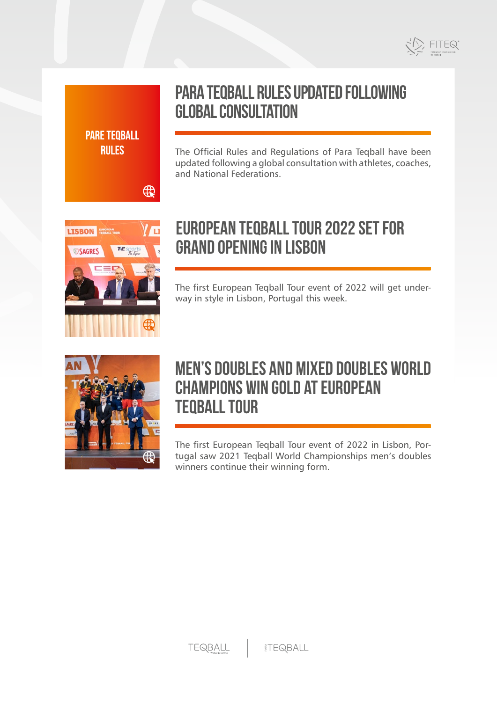

# **Para Teqball rules updated following global consultation**

The Official Rules and Regulations of Para Teqball have been updated following a global consultation with athletes, coaches, and National Federations.



**[PARE TEQBALL](https://www.fiteq.org/news/-188) RULES**

 $\bigoplus$ 

# **European Teqball Tour 2022 set for grand opening in Lisbon**

The first European Teqball Tour event of 2022 will get underway in style in Lisbon, Portugal this week.



# **Men's doubles and mixed doubles world champions win gold at European Teqball Tour**

The first European Teqball Tour event of 2022 in Lisbon, Portugal saw 2021 Teqball World Championships men's doubles winners continue their winning form.